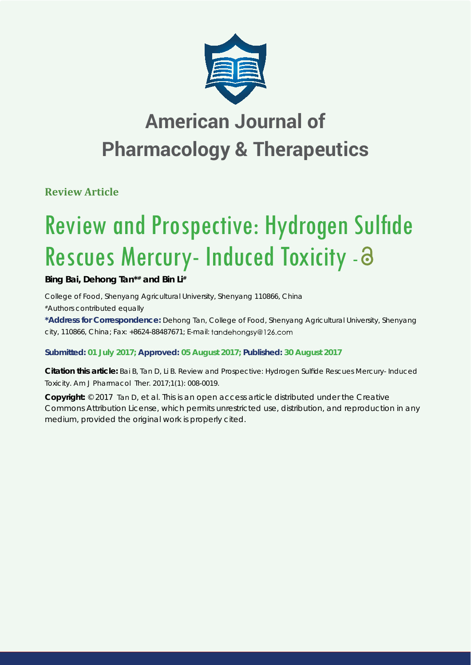

## **American Journal of Pharmacology & Therapeutics**

**Review Article**

# **Review and Prospective: Hydrogen Sulfide** Rescues Mercury- Induced Toxicity - a

## **Bing Bai, Dehong Tan\*# and Bin Li#**

*College of Food, Shenyang Agricultural University, Shenyang 110866, China #Authors contributed equally*

**\*Address for Correspondence:** Dehong Tan, College of Food, Shenyang Agricultural University, Shenyang city, 110866, China; Fax: +8624-88487671; E-mail:

### **Submitted: 01 July 2017; Approved: 05 August 2017; Published: 30 August 2017**

**Citation this article:** Bai B, Tan D, Li B. Review and Prospective: Hydrogen Sulfide Rescues Mercury- Induced Toxicity. Am J Pharmacol Ther. 2017;1(1): 008-0019.

**Copyright:** © 2017 Tan D, et al. This is an open access article distributed under the Creative Commons Attribution License, which permits unrestricted use, distribution, and reproduction in any medium, provided the original work is properly cited.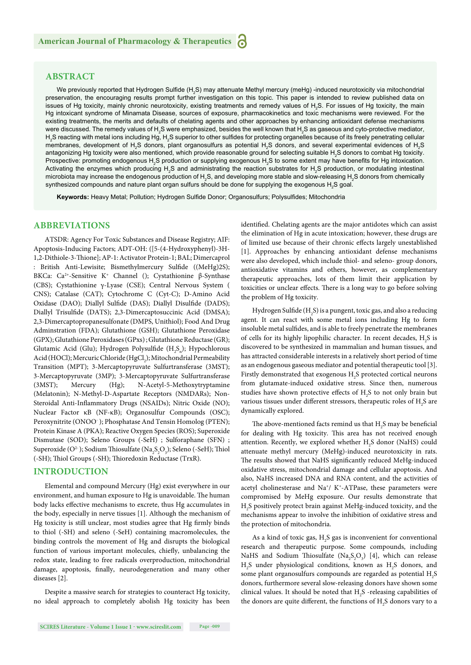#### **ABSTRACT**

We previously reported that Hydrogen Sulfide (H<sub>2</sub>S) may attenuate Methyl mercury (meHg) -induced neurotoxicity via mitochondrial preservation, the encouraging results prompt further investigation on this topic. This paper is intended to review published data on issues of Hg toxicity, mainly chronic neurotoxicity, existing treatments and remedy values of H<sub>2</sub>S. For issues of Hg toxicity, the main Hg intoxicant syndrome of Minamata Disease, sources of exposure, pharmacokinetics and toxic mechanisms were reviewed. For the existing treatments, the merits and defaults of chelating agents and other approaches by enhancing antioxidant defense mechanisms were discussed. The remedy values of  $\mathsf{H}_2\mathsf{S}$  were emphasized, besides the well known that  $\mathsf{H}_2\mathsf{S}$  as gaseous and cyto-protective mediator,  ${\sf H}_2$ S reacting with metal ions including Hg,  ${\sf H}_2$ S superior to other sulfides for protecting organelles because of its freely penetrating cellular membranes, development of H<sub>2</sub>S donors, plant organosulfurs as potential H<sub>2</sub>S donors, and several experimental evidences of H<sub>2</sub>S antagonizing Hg toxicity were also mentioned, which provide reasonable ground for selecting suitable H<sub>2</sub>S donors to combat Hg toxicity. Prospective: promoting endogenous H<sub>2</sub>S production or supplying exogenous H<sub>2</sub>S to some extent may have benefits for Hg intoxication. Activating the enzymes which producing  $H_2S$  and administrating the reaction substrates for  $H_2S$  production, or modulating intestinal microbiota may increase the endogenous production of H<sub>2</sub>S, and developing more stable and slow-releasing H<sub>2</sub>S donors from chemically synthesized compounds and nature plant organ sulfurs should be done for supplying the exogenous  $H_2$ S goal.

Keywords: Heavy Metal; Pollution; Hydrogen Sulfide Donor; Organosulfurs; Polysulfides; Mitochondria

#### **ABBREVIATIONS**

ATSDR: Agency For Toxic Substances and Disease Registry; AIF: Apoptosis-Inducing Factors; ADT-OH: ([5-(4-Hydroxyphenyl)-3H-1,2-Dithiole-3-Thione]; AP-1: Activator Protein-1; BAL; Dimercaprol : British Anti-Lewisite; Bismethylmercury Sulfide ((MeHg)2S); BKCa: Ca<sup>2+</sup>-Sensitive K<sup>+</sup> Channel (); Cystathionine β-Synthase (CBS); Cystathionine γ-Lyase (CSE); Central Nervous System ( CNS); Catalase (CAT); Cytochrome C (Cyt-C); D-Amino Acid Oxidase (DAO); Diallyl Sulfide (DAS); Diallyl Disulfide (DADS); Diallyl Trisulfide (DATS); 2,3-Dimercaptosuccinic Acid (DMSA); 2,3-Dimercaptopropanesulfonate (DMPS, Unithiol); Food And Drug Adminstration (FDA); Glutathione (GSH); Glutathione Peroxidase (GPX); Glutathione Peroxidases (GPxs) ; Glutathione Reductase (GR); Glutamic Acid (Glu); Hydrogen Polysulfide  $(H_2S_n)$ ; Hypochlorous Acid (HOCl); Mercuric Chloride (HgCl<sub>2</sub>); Mitochondrial Permeability Transition (MPT); 3-Mercaptopyruvate Sulfurtransferase (3MST); 3-Mercaptopyruvate (3MP); 3-Mercaptopyruvate Sulfurtransferase (3MST); Mercury (Hg); N-Acetyl-5-Methoxytryptamine (Melatonin); N-Methyl-D-Aspartate Receptors (NMDARs); Non-Steroidal Anti-Inflammatory Drugs (NSAIDs); Nitric Oxide (NO); Nuclear Factor κB (NF-κB); Organosulfur Compounds (OSC); Peroxynitrite (ONOO ); Phosphatase And Tensin Homolog (PTEN); Protein Kinase A (PKA); Reactive Oxygen Species (ROS); Superoxide Dismutase (SOD); Seleno Groups (-SeH) ; Sulforaphane (SFN) ; Superoxide (O<sup>2-</sup>); Sodium Thiosulfate (Na<sub>2</sub>S<sub>2</sub>O<sub>3</sub>); Seleno (-SeH); Thiol (-SH); Thiol Groups (-SH); Thioredoxin Reductase (TrxR).

#### **INTRODUCTION**

Elemental and compound Mercury (Hg) exist everywhere in our environment, and human exposure to Hg is unavoidable. The human body lacks effective mechanisms to excrete, thus Hg accumulates in the body, especially in nerve tissues [1]. Although the mechanism of Hg toxicity is still unclear, most studies agree that Hg firmly binds to thiol (-SH) and seleno (-SeH) containing macromolecules, the binding controls the movement of Hg and disrupts the biological function of various important molecules, chiefly, unbalancing the redox state, leading to free radicals overproduction, mitochondrial damage, apoptosis, finally, neurodegeneration and many other diseases [2].

Despite a massive search for strategies to counteract Hg toxicity, no ideal approach to completely abolish Hg toxicity has been

**SCIRES Literature - Volume 1 Issue 1 - www.scireslit.com Page -009**

identified. Chelating agents are the major antidotes which can assist the elimination of Hg in acute intoxication; however, these drugs are of limited use because of their chronic effects largely unestablished [1]. Approaches by enhancing antioxidant defense mechanisms were also developed, which include thiol- and seleno- group donors, antioxidative vitamins and others, however, as complementary therapeutic approaches, lots of them limit their application by toxicities or unclear effects. There is a long way to go before solving the problem of Hg toxicity.

Hydrogen Sulfide (H<sub>2</sub>S) is a pungent, toxic gas, and also a reducing agent. It can react with some metal ions including Hg to form insoluble metal sulfides, and is able to freely penetrate the membranes of cells for its highly lipophilic character. In recent decades,  $H_2S$  is discovered to be synthesized in mammalian and human tissues, and has attracted considerable interests in a relatively short period of time as an endogenous gaseous mediator and potential therapeutic tool [3]. Firstly demonstrated that exogenous  $H_2S$  protected cortical neurons from glutamate-induced oxidative stress. Since then, numerous studies have shown protective effects of  $H_2S$  to not only brain but various tissues under different stressors, therapeutic roles of  $H_2S$  are dynamically explored.

The above-mentioned facts remind us that  $H_2S$  may be beneficial for dealing with Hg toxicity. This area has not received enough attention. Recently, we explored whether  $H_2S$  donor (NaHS) could attenuate methyl mercury (MeHg)-induced neurotoxicity in rats. The results showed that NaHS significantly reduced MeHg-induced oxidative stress, mitochondrial damage and cellular apoptosis. And also, NaHS increased DNA and RNA content, and the activities of acetyl cholinesterase and  $Na^{+}/$  K<sup>+</sup>-ATPase, these parameters were compromised by MeHg exposure. Our results demonstrate that H2 S positively protect brain against MeHg-induced toxicity, and the mechanisms appear to involve the inhibition of oxidative stress and the protection of mitochondria.

As a kind of toxic gas,  $H_2S$  gas is inconvenient for conventional research and therapeutic purpose. Some compounds, including NaHS and Sodium Thiosulfate  $(Na_2S_2O_3)$  [4], which can release H<sub>2</sub>S under physiological conditions, known as H<sub>2</sub>S donors, and some plant organosulfurs compounds are regarded as potential  $H_2S$ donors, furthermore several slow-releasing donors have shown some clinical values. It should be noted that  $H_2S$  -releasing capabilities of the donors are quite different, the functions of  $H_2S$  donors vary to a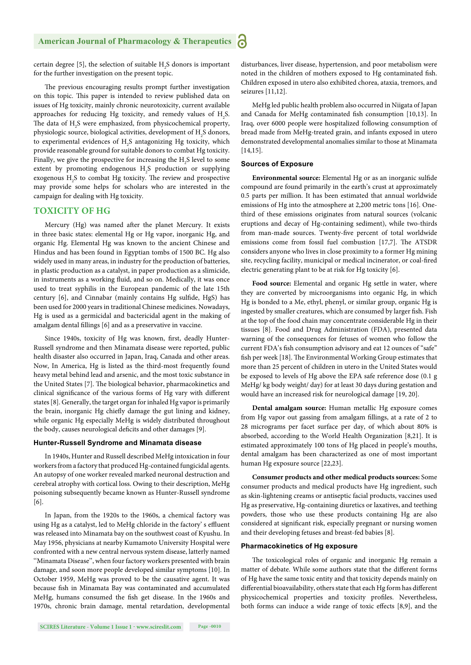certain degree [5], the selection of suitable  $\mathrm{H}_2\mathrm{S}$  donors is important for the further investigation on the present topic.

The previous encouraging results prompt further investigation on this topic. This paper is intended to review published data on issues of Hg toxicity, mainly chronic neurotoxicity, current available approaches for reducing Hg toxicity, and remedy values of  $H_2S$ . The data of  $H_2S$  were emphasized, from physicochemical property, physiologic source, biological activities, development of  $\mathrm{H}_2\mathrm{S}$  donors, to experimental evidences of  $H_2S$  antagonizing Hg toxicity, which provide reasonable ground for suitable donors to combat Hg toxicity. Finally, we give the prospective for increasing the  $H_2S$  level to some extent by promoting endogenous H<sub>2</sub>S production or supplying exogenous  $H_2S$  to combat  $Hg$  toxicity. The review and prospective may provide some helps for scholars who are interested in the campaign for dealing with Hg toxicity.

#### **TOXICITY OF HG**

Mercury (Hg) was named after the planet Mercury. It exists in three basic states: elemental Hg or Hg vapor, inorganic Hg, and organic Hg. Elemental Hg was known to the ancient Chinese and Hindus and has been found in Egyptian tombs of 1500 BC. Hg also widely used in many areas, in industry for the production of batteries, in plastic production as a catalyst, in paper production as a slimicide, in instruments as a working fluid, and so on. Medically, it was once used to treat syphilis in the European pandemic of the late 15th century [6], and Cinnabar (mainly contains Hg sulfide, HgS) has been used for 2000 years in traditional Chinese medicines. Nowadays, Hg is used as a germicidal and bactericidal agent in the making of amalgam dental fillings [6] and as a preservative in vaccine.

Since 1940s, toxicity of Hg was known, first, deadly Hunter-Russell syndrome and then Minamata disease were reported, public health disaster also occurred in Japan, Iraq, Canada and other areas. Now, In America, Hg is listed as the third-most frequently found heavy metal behind lead and arsenic, and the most toxic substance in the United States [7]. The biological behavior, pharmacokinetics and clinical significance of the various forms of Hg vary with different states [8]. Generally, the target organ for inhaled Hg vapor is primarily the brain, inorganic Hg chiefly damage the gut lining and kidney, while organic Hg especially MeHg is widely distributed throughout the body, causes neurological deficits and other damages [9].

#### **Hunter-Russell Syndrome and Minamata disease**

In 1940s, Hunter and Russell described MeHg intoxication in four workers from a factory that produced Hg-contained fungicidal agents. An autopsy of one worker revealed marked neuronal destruction and cerebral atrophy with cortical loss. Owing to their description, MeHg poisoning subsequently became known as Hunter-Russell syndrome [6].

In Japan, from the 1920s to the 1960s, a chemical factory was using Hg as a catalyst, led to MeHg chloride in the factory' s effluent was released into Minamata bay on the southwest coast of Kyushu. In May 1956, physicians at nearby Kumamoto University Hospital were confronted with a new central nervous system disease, latterly named ''Minamata Disease'', when four factory workers presented with brain damage, and soon more people developed similar symptoms [10]. In October 1959, MeHg was proved to be the causative agent. It was because fish in Minamata Bay was contaminated and accumulated MeHg, humans consumed the fish get disease. In the 1960s and 1970s, chronic brain damage, mental retardation, developmental disturbances, liver disease, hypertension, and poor metabolism were noted in the children of mothers exposed to Hg contaminated fish. Children exposed in utero also exhibited chorea, ataxia, tremors, and seizures [11,12].

MeHg led public health problem also occurred in Niigata of Japan and Canada for MeHg contaminated fish consumption [10,13]. In Iraq, over 6000 people were hospitalized following consumption of bread made from MeHg-treated grain, and infants exposed in utero demonstrated developmental anomalies similar to those at Minamata [14,15].

#### **Sources of Exposure**

**Environmental source:** Elemental Hg or as an inorganic sulfide compound are found primarily in the earth's crust at approximately 0.5 parts per million. It has been estimated that annual worldwide emissions of Hg into the atmosphere at 2,200 metric tons [16]. Onethird of these emissions originates from natural sources (volcanic eruptions and decay of Hg-containing sediment), while two-thirds from man-made sources. Twenty-five percent of total worldwide emissions come from fossil fuel combustion [17,7]. The ATSDR considers anyone who lives in close proximity to a former Hg mining site, recycling facility, municipal or medical incinerator, or coal-fired electric generating plant to be at risk for Hg toxicity [6].

**Food source:** Elemental and organic Hg settle in water, where they are converted by microorganisms into organic Hg, in which Hg is bonded to a Me, ethyl, phenyl, or similar group, organic Hg is ingested by smaller creatures, which are consumed by larger fish. Fish at the top of the food chain may concentrate considerable Hg in their tissues [8]. Food and Drug Administration (FDA), presented data warning of the consequences for fetuses of women who follow the current FDA's fish consumption advisory and eat 12 ounces of "safe" fish per week [18]. The Environmental Working Group estimates that more than 25 percent of children in utero in the United States would be exposed to levels of Hg above the EPA safe reference dose (0.1 g MeHg/ kg body weight/ day) for at least 30 days during gestation and would have an increased risk for neurological damage [19, 20].

**Dental amalgam source:** Human metallic Hg exposure comes from Hg vapor out gassing from amalgam fillings, at a rate of 2 to 28 micrograms per facet surface per day, of which about 80% is absorbed, according to the World Health Organization [8,21]. It is estimated approximately 100 tons of Hg placed in people's mouths, dental amalgam has been characterized as one of most important human Hg exposure source [22,23].

**Consumer products and other medical products sources:** Some consumer products and medical products have Hg ingredient, such as skin-lightening creams or antiseptic facial products, vaccines used Hg as preservative, Hg-containing diuretics or laxatives, and teething powders, those who use these products containing Hg are also considered at significant risk, especially pregnant or nursing women and their developing fetuses and breast-fed babies [8].

#### **Pharmacokinetics of Hg exposure**

The toxicological roles of organic and inorganic Hg remain a matter of debate. While some authors state that the different forms of Hg have the same toxic entity and that toxicity depends mainly on differential bioavailability, others state that each Hg form has different physicochemical properties and toxicity profiles. Nevertheless, both forms can induce a wide range of toxic effects [8,9], and the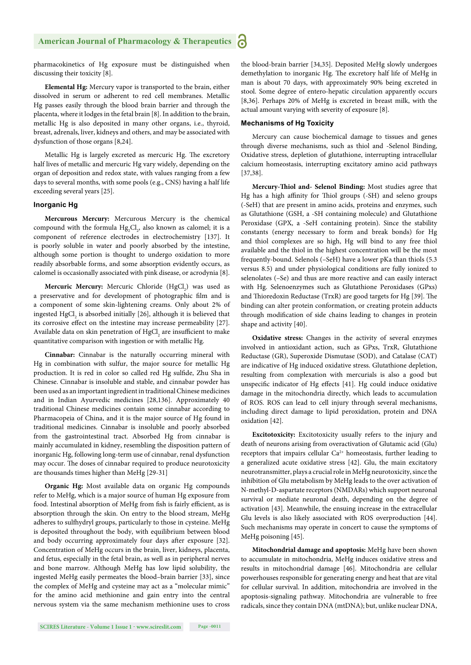pharmacokinetics of Hg exposure must be distinguished when discussing their toxicity [8].

**Elemental Hg:** Mercury vapor is transported to the brain, either dissolved in serum or adherent to red cell membranes. Metallic Hg passes easily through the blood brain barrier and through the placenta, where it lodges in the fetal brain [8]. In addition to the brain, metallic Hg is also deposited in many other organs, i.e., thyroid, breast, adrenals, liver, kidneys and others, and may be associated with dysfunction of those organs [8,24].

Metallic Hg is largely excreted as mercuric Hg. The excretory half lives of metallic and mercuric Hg vary widely, depending on the organ of deposition and redox state, with values ranging from a few days to several months, with some pools (e.g., CNS) having a half life exceeding several years [25].

#### **Inorganic Hg**

**Mercurous Mercury:** Mercurous Mercury is the chemical compound with the formula  $Hg_2Cl_2$ , also known as calomel; it is a component of reference electrodes in electrochemistry [137]. It is poorly soluble in water and poorly absorbed by the intestine, although some portion is thought to undergo oxidation to more readily absorbable forms, and some absorption evidently occurs, as calomel is occasionally associated with pink disease, or acrodynia [8].

**Mercuric Mercury:** Mercuric Chloride (HgCl<sub>2</sub>) was used as a preservative and for development of photographic film and is a component of some skin-lightening creams. Only about 2% of ingested  $\mathrm{HgCl}_{_2}$  is absorbed initially [26], although it is believed that its corrosive effect on the intestine may increase permeability [27]. Available data on skin penetration of  $\mathrm{HgCl}_{2}$  are insufficient to make quantitative comparison with ingestion or with metallic Hg.

**Cinnabar:** Cinnabar is the naturally occurring mineral with Hg in combination with sulfur, the major source for metallic Hg production. It is red in color so called red Hg sulfide, Zhu Sha in Chinese. Cinnabar is insoluble and stable, and cinnabar powder has been used as an important ingredient in traditional Chinese medicines and in Indian Ayurvedic medicines [28,136]. Approximately 40 traditional Chinese medicines contain some cinnabar according to Pharmacopeia of China, and it is the major source of Hg found in traditional medicines. Cinnabar is insoluble and poorly absorbed from the gastrointestinal tract. Absorbed Hg from cinnabar is mainly accumulated in kidney, resembling the disposition pattern of inorganic Hg, following long-term use of cinnabar, renal dysfunction may occur. The doses of cinnabar required to produce neurotoxicity are thousands times higher than MeHg [29-31]

**Organic Hg:** Most available data on organic Hg compounds refer to MeHg, which is a major source of human Hg exposure from food. Intestinal absorption of MeHg from fish is fairly efficient, as is absorption through the skin. On entry to the blood stream, MeHg adheres to sulfhydryl groups, particularly to those in cysteine. MeHg is deposited throughout the body, with equilibrium between blood and body occurring approximately four days after exposure [32]. Concentration of MeHg occurs in the brain, liver, kidneys, placenta, and fetus, especially in the fetal brain, as well as in peripheral nerves and bone marrow. Although MeHg has low lipid solubility, the ingested MeHg easily permeates the blood–brain barrier [33], since the complex of MeHg and cysteine may act as a "molecular mimic" for the amino acid methionine and gain entry into the central nervous system via the same mechanism methionine uses to cross

the blood-brain barrier [34,35]. Deposited MeHg slowly undergoes demethylation to inorganic Hg. The excretory half life of MeHg in man is about 70 days, with approximately 90% being excreted in stool. Some degree of entero-hepatic circulation apparently occurs [8,36]. Perhaps 20% of MeHg is excreted in breast milk, with the actual amount varying with severity of exposure [8].

#### **Mechanisms of Hg Toxicity**

Mercury can cause biochemical damage to tissues and genes through diverse mechanisms, such as thiol and -Selenol Binding, Oxidative stress, depletion of glutathione, interrupting intracellular calcium homeostasis, interrupting excitatory amino acid pathways [37,38].

Mercury-Thiol and- Selenol Binding: Most studies agree that Hg has a high affinity for Thiol groups (-SH) and seleno groups (-SeH) that are present in amino acids, proteins and enzymes, such as Glutathione (GSH, a -SH containing molecule) and Glutathione Peroxidase (GPX, a -SeH containing protein). Since the stability constants (energy necessary to form and break bonds) for Hg and thiol complexes are so high, Hg will bind to any free thiol available and the thiol in the highest concentration will be the most frequently-bound. Selenols (–SeH) have a lower pKa than thiols (5.3 versus 8.5) and under physiological conditions are fully ionized to selenolates (–Se) and thus are more reactive and can easily interact with Hg. Selenoenzymes such as Glutathione Peroxidases (GPxs) and Thioredoxin Reductase (TrxR) are good targets for Hg [39]. The binding can alter protein conformation, or creating protein adducts through modification of side chains leading to changes in protein shape and activity [40].

**Oxidative stress:** Changes in the activity of several enzymes involved in antioxidant action, such as GPxs, TrxR, Glutathione Reductase (GR), Superoxide Dismutase (SOD), and Catalase (CAT) are indicative of Hg induced oxidative stress. Glutathione depletion, resulting from complexation with mercurials is also a good but unspecific indicator of Hg effects [41]. Hg could induce oxidative damage in the mitochondria directly, which leads to accumulation of ROS. ROS can lead to cell injury through several mechanisms, including direct damage to lipid peroxidation, protein and DNA oxidation [42].

**Excitotoxicity:** Excitotoxicity usually refers to the injury and death of neurons arising from overactivation of Glutamic acid (Glu) receptors that impairs cellular Ca<sup>2+</sup> homeostasis, further leading to a generalized acute oxidative stress [42]. Glu, the main excitatory neurotransmitter, plays a crucial role in MeHg neurotoxicity, since the inhibition of Glu metabolism by MeHg leads to the over activation of N-methyl-D-aspartate receptors (NMDARs) which support neuronal survival or mediate neuronal death, depending on the degree of activation [43]. Meanwhile, the ensuing increase in the extracellular Glu levels is also likely associated with ROS overproduction [44]. Such mechanisms may operate in concert to cause the symptoms of MeHg poisoning [45].

**Mitochondrial damage and apoptosis:** MeHg have been shown to accumulate in mitochondria, MeHg induces oxidative stress and results in mitochondrial damage [46]. Mitochondria are cellular powerhouses responsible for generating energy and heat that are vital for cellular survival. In addition, mitochondria are involved in the apoptosis-signaling pathway. Mitochondria are vulnerable to free radicals, since they contain DNA (mtDNA); but, unlike nuclear DNA,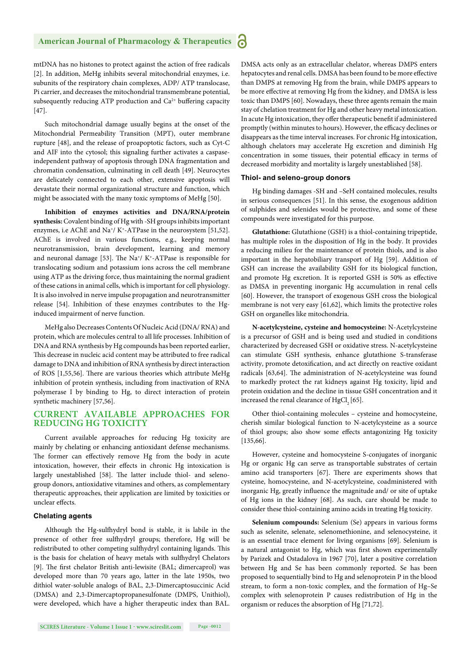mtDNA has no histones to protect against the action of free radicals [2]. In addition, MeHg inhibits several mitochondrial enzymes, i.e. subunits of the respiratory chain complexes, ADP/ ATP translocase, Pi carrier, and decreases the mitochondrial transmembrane potential, subsequently reducing ATP production and  $Ca<sup>2+</sup>$  buffering capacity [47].

Such mitochondrial damage usually begins at the onset of the Mitochondrial Permeability Transition (MPT), outer membrane rupture [48], and the release of proapoptotic factors, such as Cyt-C and AIF into the cytosol; this signaling further activates a caspaseindependent pathway of apoptosis through DNA fragmentation and chromatin condensation, culminating in cell death [49]. Neurocytes are delicately connected to each other, extensive apoptosis will devastate their normal organizational structure and function, which might be associated with the many toxic symptoms of MeHg [50].

**Inhibition of enzymes activities and DNA/RNA/protein synthesis:** Covalent binding of Hg with -SH groups inhibits important enzymes, i.e AChE and Na<sup>+</sup>/ K<sup>+</sup>-ATPase in the neurosystem [51,52]. AChE is involved in various functions, e.g., keeping normal neurotransmission, brain development, learning and memory and neuronal damage [53]. The Na<sup>+</sup>/ K<sup>+</sup>-ATPase is responsible for translocating sodium and potassium ions across the cell membrane using ATP as the driving force, thus maintaining the normal gradient of these cations in animal cells, which is important for cell physiology. It is also involved in nerve impulse propagation and neurotransmitter release [54]. Inhibition of these enzymes contributes to the Hginduced impairment of nerve function.

MeHg also Decreases Contents Of Nucleic Acid (DNA/ RNA) and protein, which are molecules central to all life processes. Inhibition of DNA and RNA synthesis by Hg compounds has been reported earlier, This decrease in nucleic acid content may be attributed to free radical damage to DNA and inhibition of RNA synthesis by direct interaction of ROS [1,55,56]. There are various theories which attribute MeHg inhibition of protein synthesis, including from inactivation of RNA polymerase I by binding to Hg, to direct interaction of protein synthetic machinery [57,56].

#### **CURRENT AVAILABLE APPROACHES FOR REDUCING HG TOXICITY**

Current available approaches for reducing Hg toxicity are mainly by chelating or enhancing antioxidant defense mechanisms. The former can effectively remove Hg from the body in acute intoxication, however, their effects in chronic Hg intoxication is largely unestablished [58]. The latter include thiol- and selenogroup donors, antioxidative vitamines and others, as complementary therapeutic approaches, their application are limited by toxicities or unclear effects.

#### **Chelating agents**

Although the Hg-sulfhydryl bond is stable, it is labile in the presence of other free sulfhydryl groups; therefore, Hg will be redistributed to other competing sulfhydryl containing ligands. This is the basis for chelation of heavy metals with sulfhydryl Chelators [9]. The first chelator British anti-lewisite (BAL; dimercaprol) was developed more than 70 years ago, latter in the late 1950s, two dithiol water-soluble analogs of BAL, 2,3-Dimercaptosuccinic Acid (DMSA) and 2,3-Dimercaptopropanesulfonate (DMPS, Unithiol), were developed, which have a higher therapeutic index than BAL. DMSA acts only as an extracellular chelator, whereas DMPS enters hepatocytes and renal cells. DMSA has been found to be more effective than DMPS at removing Hg from the brain, while DMPS appears to be more effective at removing Hg from the kidney, and DMSA is less toxic than DMPS [60]. Nowadays, these three agents remain the main stay of chelation treatment for Hg and other heavy metal intoxication. In acute Hg intoxication, they offer therapeutic benefit if administered promptly (within minutes to hours). However, the efficacy declines or disappears as the time interval increases. For chronic Hg intoxication, although chelators may accelerate Hg excretion and diminish Hg concentration in some tissues, their potential efficacy in terms of decreased morbidity and mortality is largely unestablished [58].

#### **Thiol- and seleno-group donors**

Hg binding damages -SH and –SeH contained molecules, results in serious consequences [51]. In this sense, the exogenous addition of sulphides and selenides would be protective, and some of these compounds were investigated for this purpose.

**Glutathione:** Glutathione (GSH) is a thiol-containing tripeptide, has multiple roles in the disposition of Hg in the body. It provides a reducing milieu for the maintenance of protein thiols, and is also important in the hepatobiliary transport of Hg [59]. Addition of GSH can increase the availability GSH for its biological function, and promote Hg excretion. It is reported GSH is 50% as effective as DMSA in preventing inorganic Hg accumulation in renal cells [60]. However, the transport of exogenous GSH cross the biological membrane is not very easy [61,62], which limits the protective roles GSH on organelles like mitochondria.

**N-acetylcysteine, cysteine and homocysteine:** N-Acetylcysteine is a precursor of GSH and is being used and studied in conditions characterized by decreased GSH or oxidative stress. N-acetylcysteine can stimulate GSH synthesis, enhance glutathione S-transferase activity, promote detoxification, and act directly on reactive oxidant radicals [63,64]. The administration of N-acetylcysteine was found to markedly protect the rat kidneys against Hg toxicity, lipid and protein oxidation and the decline in tissue GSH concentration and it increased the renal clearance of  $HgCl<sub>2</sub>$  [65].

Other thiol-containing molecules – cysteine and homocysteine, cherish similar biological function to N-acetylcysteine as a source of thiol groups; also show some effects antagonizing Hg toxicity [135,66].

However, cysteine and homocysteine S-conjugates of inorganic Hg or organic Hg can serve as transportable substrates of certain amino acid transporters [67]. There are experiments shows that cysteine, homocysteine, and N-acetylcysteine, coadministered with inorganic Hg, greatly influence the magnitude and/ or site of uptake of Hg ions in the kidney [68]. As such, care should be made to consider these thiol-containing amino acids in treating Hg toxicity.

**Selenium compounds:** Selenium (Se) appears in various forms such as selenite, selenate, selenomethionine, and selenocysteine, it is an essential trace element for living organisms [69]. Selenium is a natural antagonist to Hg, which was first shown experimentally by Parizek and Ostadalova in 1967 [70], later a positive correlation between Hg and Se has been commonly reported. Se has been proposed to sequentially bind to Hg and selenoprotein P in the blood stream, to form a non-toxic complex, and the formation of Hg–Se complex with selenoprotein P causes redistribution of Hg in the organism or reduces the absorption of Hg [71,72].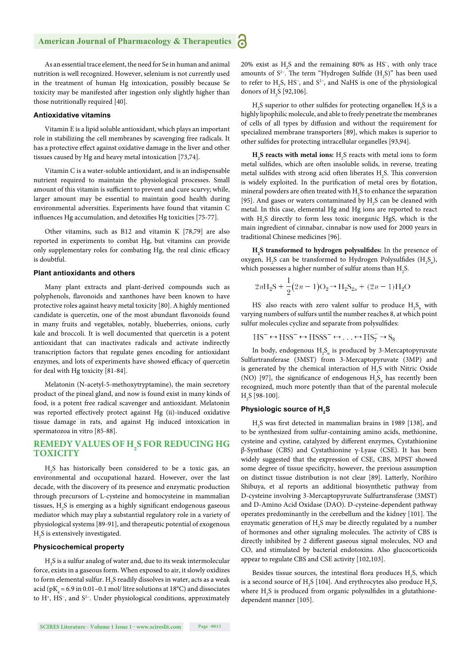As an essential trace element, the need for Se in human and animal nutrition is well recognized. However, selenium is not currently used in the treatment of human Hg intoxication, possibly because Se toxicity may be manifested after ingestion only slightly higher than those nutritionally required [40].

#### **Antioxidative vitamins**

Vitamin E is a lipid soluble antioxidant, which plays an important role in stabilizing the cell membranes by scavenging free radicals. It has a protective effect against oxidative damage in the liver and other tissues caused by Hg and heavy metal intoxication [73,74].

Vitamin C is a water-soluble antioxidant, and is an indispensable nutrient required to maintain the physiological processes. Small amount of this vitamin is sufficient to prevent and cure scurvy; while, larger amount may be essential to maintain good health during environmental adversities. Experiments have found that vitamin C influences Hg accumulation, and detoxifies Hg toxicities [75-77].

Other vitamins, such as B12 and vitamin K [78,79] are also reported in experiments to combat Hg, but vitamins can provide only supplementary roles for combating Hg, the real clinic efficacy is doubtful.

#### **Plant antioxidants and others**

Many plant extracts and plant-derived compounds such as polyphenols, flavonoids and xanthones have been known to have protective roles against heavy metal toxicity [80]. A highly mentioned candidate is quercetin, one of the most abundant flavonoids found in many fruits and vegetables, notably, blueberries, onions, curly kale and broccoli. It is well documented that quercetin is a potent antioxidant that can inactivates radicals and activate indirectly transcription factors that regulate genes encoding for antioxidant enzymes, and lots of experiments have showed efficacy of quercetin for deal with Hg toxicity [81-84].

Melatonin (N-acetyl-5-methoxytryptamine), the main secretory product of the pineal gland, and now is found exist in many kinds of food, is a potent free radical scavenger and antioxidant. Melatonin was reported effectively protect against Hg (ii)-induced oxidative tissue damage in rats, and against Hg induced intoxication in spermatozoa in vitro [85-88].

#### **REMEDY VALUES OF H2 S FOR REDUCING HG TOXICITY**

H2 S has historically been considered to be a toxic gas, an environmental and occupational hazard. However, over the last decade, with the discovery of its presence and enzymatic production through precursors of L-cysteine and homocysteine in mammalian tissues,  $H_2S$  is emerging as a highly significant endogenous gaseous mediator which may play a substantial regulatory role in a variety of physiological systems [89-91], and therapeutic potential of exogenous  $\rm{H}_{2}\rm{S}$  is extensively investigated.

#### **Physicochemical property**

 $\rm H_2S$  is a sulfur analog of water and, due to its weak intermolecular force, exists in a gaseous form. When exposed to air, it slowly oxidizes to form elemental sulfur.  $\rm H_2$ S readily dissolves in water, acts as a weak acid (pK<sub>a</sub> = 6.9 in 0.01–0.1 mol/ litre solutions at 18°C) and dissociates to H+, HS−, and S2−. Under physiological conditions, approximately

20% exist as H2 S and the remaining 80% as HS−, with only trace amounts of  $S^2$ -. The term "Hydrogen Sulfide (H<sub>2</sub>S)" has been used to refer to  $H_2S$ , HS<sup>-</sup>, and S<sup>2-</sup>, and NaHS is one of the physiological donors of  $H_2S$  [92,106].

 $H_2$ S superior to other sulfides for protecting organelles:  $H_2$ S is a highly lipophilic molecule, and able to freely penetrate the membranes of cells of all types by diffusion and without the requirement for specialized membrane transporters [89], which makes is superior to other sulfides for protecting intracellular organelles [93,94].

 $H_2$ **S reacts with metal ions:**  $H_2$ S reacts with metal ions to form metal sulfides, which are often insoluble solids, in reverse, treating metal sulfides with strong acid often liberates  $H_2S$ . This conversion is widely exploited. In the purification of metal ores by flotation, mineral powders are often treated with  $\mathrm{H}_2$ S to enhance the separation [95]. And gases or waters contaminated by  $H_2S$  can be cleaned with metal. In this case, elemental Hg and Hg ions are reported to react with H2 S directly to form less toxic inorganic HgS, which is the main ingredient of cinnabar, cinnabar is now used for 2000 years in traditional Chinese medicines [96].

**H<sub>2</sub>S transformed to hydrogen polysulfides:** In the presence of oxygen,  $H_2S$  can be transformed to Hydrogen Polysulfides ( $H_2S_n$ ), which possesses a higher number of sulfur atoms than  $H_2S$ .

$$
2n\text{H}_2\text{S} + \frac{1}{2}(2n-1)\text{O}_2 \rightarrow \text{H}_2\text{S}_{2n} + (2n-1)\text{H}_2\text{O}
$$

HS<sup>-</sup> also reacts with zero valent sulfur to produce  $H_2S_n$  with varying numbers of sulfurs until the number reaches 8, at which point sulfur molecules cyclize and separate from polysulfides:

$$
HS^- \leftrightarrow HSS^- \leftrightarrow HSSS^- \leftrightarrow \dots \leftrightarrow HS_7^- \rightarrow S_8
$$

In body, endogenous  $H_2S_n$  is produced by 3-Mercaptopyruvate Sulfurtransferase (3MST) from 3-Mercaptopyruvate (3MP) and is generated by the chemical interaction of  $H_2S$  with Nitric Oxide (NO) [97], the significance of endogenous  $H_2S_n$  has recently been recognized, much more potently than that of the parental molecule  $H<sub>2</sub>S$  [98-100].

#### **Physiologic source of H<sub>2</sub>S**

 $H<sub>2</sub>S$  was first detected in mammalian brains in 1989 [138], and to be synthesized from sulfur-containing amino acids, methionine, cysteine and cystine, catalyzed by different enzymes, Cystathionine β-Synthase (CBS) and Cystathionine γ-Lyase (CSE). It has been widely suggested that the expression of CSE, CBS, MPST showed some degree of tissue specificity, however, the previous assumption on distinct tissue distribution is not clear [89]. Latterly, Norihiro Shibuya, et al reports an additional biosynthetic pathway from D-cysteine involving 3-Mercaptopyruvate Sulfurtransferase (3MST) and D-Amino Acid Oxidase (DAO). D-cysteine-dependent pathway operates predominantly in the cerebellum and the kidney [101]. The enzymatic generation of  $H_2S$  may be directly regulated by a number of hormones and other signaling molecules. The activity of CBS is directly inhibited by 2 different gaseous signal molecules, NO and CO, and stimulated by bacterial endotoxins. Also glucocorticoids appear to regulate CBS and CSE activity [102,103].

Besides tissue sources, the intestinal flora produces  $H_2S$ , which is a second source of H<sub>2</sub>S [104]. And erythrocytes also produce H<sub>2</sub>S, where  $H_2S$  is produced from organic polysulfides in a glutathionedependent manner [105].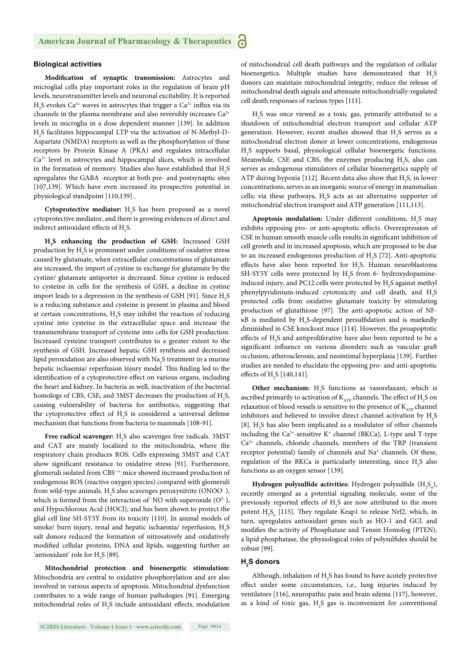#### **Biological activities**

**Modification of synaptic transmission:** Astrocytes and microglial cells play important roles in the regulation of brain pH levels, neurotransmitter levels and neuronal excitability. It is reported  $H_2S$  evokes Ca<sup>2+</sup> waves in astrocytes that trigger a Ca<sup>2+</sup> influx via its channels in the plasma membrane and also reversibly increases  $Ca^{2+}$ levels in microglia in a dose dependent manner [139]. In addition H2 S facilitates hippocampal LTP via the activation of N-Methyl-D-Aspartate (NMDA) receptors as well as the phosphorylation of these receptors by Protein Kinase A (PKA) and regulates intracellular Ca2+ level in astrocytes and hippocampal slices, which is involved in the formation of memory. Studies also have established that  $\rm H_2S$ upregulates the GABA -receptor at both pre- and postsynaptic sites [107,139]. Which have even increased its prospective potential in physiological standpoint [110,139] .

Cytoprotective mediator: H<sub>2</sub>S has been proposed as a novel cytoprotective mediator, and there is growing evidences of direct and indirect antioxidant effects of  $H_2S$ .

**H2 S enhancing the production of GSH:** Increased GSH production by  $\mathrm{H}_2\mathrm{S}$  is prominent under conditions of oxidative stress caused by glutamate, when extracellular concentrations of glutamate are increased, the import of cystine in exchange for glutamate by the cystine/ glutamate antiporter is decreased. Since cystine is reduced to cysteine in cells for the synthesis of GSH, a decline in cystine import leads to a depression in the synthesis of GSH [91]. Since  $\rm H_2S$ is a reducing substance and cysteine is present in plasma and blood at certain concentrations,  $H_2S$  may inhibit the reaction of reducing cystine into cysteine in the extracellular space and increase the transmembrane transport of cysteine into cells for GSH production. Increased cysteine transport contributes to a greater extent to the synthesis of GSH. Increased hepatic GSH synthesis and decreased lipid peroxidation are also observed with  $\mathrm{Na}_2\mathrm{S}$  treatment in a murine hepatic ischaemia/ reperfusion injury model. This finding led to the identification of a cytoprotective effect on various organs, including the heart and kidney. In bacteria as well, inactivation of the bacterial homologs of CBS, CSE, and 3MST decreases the production of  $\rm H_2S$ , causing vulnerability of bacteria for antibiotics, suggesting that the cytoprotective effect of  $H_2S$  is considered a universal defense mechanism that functions from bacteria to mammals [108-91].

**Free radical scavenger:**  $H_2S$  also scavenges free radicals. 3MST and CAT are mainly localized to the mitochondria, where the respiratory chain produces ROS. Cells expressing 3MST and CAT show significant resistance to oxidative stress [91]. Furthermore, glomeruli isolated from CBS−/+ mice showed increased production of endogenous ROS (reactive oxygen species) compared with glomeruli from wild-type animals.  $H_2S$  also scavenges peroxynitrite (ONOO $^{\circ}$ ), which is formed from the interaction of  $NO$  with superoxide  $(O^2)$ , and Hypochlorous Acid (HOCl), and has been shown to protect the glial cell line SH-SY5Y from its toxicity [110]. In animal models of smoke/ burn injury, renal and hepatic ischaemia/ reperfusion,  $H_2S$ salt donors reduced the formation of nitrosatively and oxidatively modified cellular proteins, DNA and lipids, suggesting further an 'antioxidant' role for  $H_2S$  [89].

**Mitochondrial protection and bioenergetic stimulation:**  Mitochondria are central to oxidative phosphorylation and are also involved in various aspects of apoptosis. Mitochondrial dysfunction contributes to a wide range of human pathologies [91]. Emerging mitochondrial roles of  $\mathrm{H}_2\mathrm{S}$  include antioxidant effects, modulation of mitochondrial cell death pathways and the regulation of cellular bioenergetics. Multiple studies have demonstrated that  $H_2S$ donors can maintain mitochondrial integrity, reduce the release of mitochondrial death signals and attenuate mitochondrially-regulated cell death responses of various types [111].

H2 S was once viewed as a toxic gas, primarily attributed to a shutdown of mitochondrial electron transport and cellular ATP generation. However, recent studies showed that  $H_2S$  serves as a mitochondrial electron donor at lower concentrations, endogenous H2 S supports basal, physiological cellular bioenergetic functions. Meanwhile, CSE and CBS, the enzymes producing  $H_2S$ , also can serves as endogenous stimulators of cellular bioenergetics supply of ATP during hypoxia [112]. Recent data also show that  $H_2S$ , in lower concentrations, serves as an inorganic source of energy in mammalian cells; via these pathways,  $H_2S$  acts as an alternative supporter of mitochondrial electron transport and ATP generation [111,113].

Apoptosis modulation: Under different conditions, H<sub>2</sub>S may exhibits opposing pro- or anti-apoptotic effects. Overexpression of CSE in human smooth muscle cells results in significant inhibition of cell growth and in increased apoptosis, which are proposed to be due to an increased endogenous production of  $H_2S$  [72]. Anti-apoptotic effects have also been reported for  $H_2S$ . Human neuroblastoma SH-SY5Y cells were protected by  $H_2S$  from 6- hydroxydopamineinduced injury, and PC12 cells were protected by  $\rm{H}_{2}S$  against methyl phenylpyridinium-induced cytotoxicity and cell death, and  $H_2S$ protected cells from oxidative glutamate toxicity by stimulating production of glutathione [97]. The anti-apoptotic action of NF- $\kappa$ B is mediated by H<sub>2</sub>S-dependent persulfidation and is markedly diminished in CSE knockout mice [114]. However, the proapoptotic effects of  $H_2S$  and antiproliferative have also been reported to be a significant influence on various disorders such as vascular graft occlusion, atherosclerosis, and neointimal hyperplasia [139]. Further studies are needed to elucidate the opposing pro- and anti-apoptotic effects of  $H_2S$  [140,141].

Other mechanism: H<sub>2</sub>S functions as vasorelaxant, which is ascribed primarily to activation of  $\mathbf{K}_{\mathrm{ATP}}$  channels. The effect of  $\mathbf{H}_{\mathrm{2}}\mathbf{S}$  on relaxation of blood vessels is sensitive to the presence of  $K_{ATP}$  channel inhibitors and believed to involve direct channel activation by  $H_2S$ [8].  $H_2S$  has also been implicated as a modulator of other channels including the  $Ca^{2+}$ -sensitive K<sup>+</sup> channel (BKCa), L-type and T-type  $Ca<sup>2+</sup>$  channels, chloride channels, members of the TRP (transient receptor potential) family of channels and Na<sup>+</sup> channels. Of these, regulation of the BKCa is particularly interesting, since  $H_2S$  also functions as an oxygen sensor [139].

**Hydrogen polysulfide activities:** Hydrogen polysulfide  $(H_2S_n)$ , recently emerged as a potential signaling molecule, some of the previously reported effects of  $H_2S$  are now attributed to the more potent  $H_2S_n$  [115]. They regulate Keap1 to release Nrf2, which, in turn, upregulates antioxidant genes such as HO-1 and GCL and modifies the activity of Phosphatase and Tensin Homolog (PTEN), a lipid phosphatase, the physiological roles of polysulfides should be robust [99].

#### **H<sub>2</sub>S** donors

Although, inhalation of  $H_2S$  has found to have acutely protective effect under some circumstances, i.e., lung injuries induced by ventilators [116], neuropathic pain and brain edema [117], however, as a kind of toxic gas,  $H_2S$  gas is inconvenient for conventional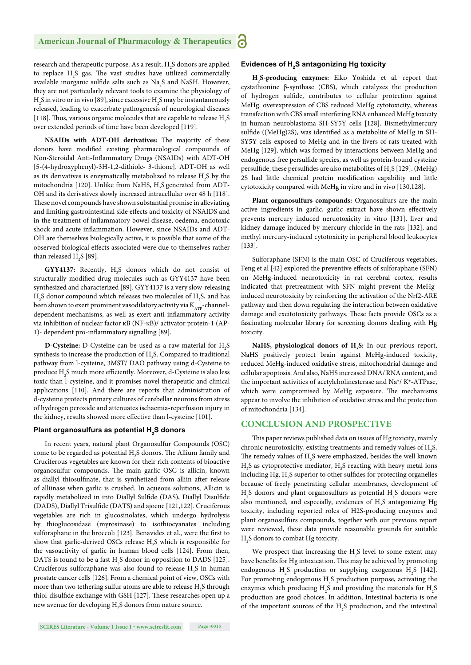research and therapeutic purpose. As a result,  $\rm H_2S$  donors are applied to replace  $H_2S$  gas. The vast studies have utilized commercially available inorganic sulfide salts such as  $\text{Na}_2\text{S}$  and NaSH. However, they are not particularly relevant tools to examine the physiology of  $\rm H_2S$  in vitro or in vivo [89], since excessive  $\rm H_2S$  may be instantaneously released, leading to exacerbate pathogenesis of neurological diseases [118]. Thus, various organic molecules that are capable to release  $\rm H_2S$ over extended periods of time have been developed [119].

NSAIDs with ADT-OH derivatives: The majority of these donors have modified existing pharmacological compounds of Non-Steroidal Anti-Inflammatory Drugs (NSAIDs) with ADT-OH [5-(4-hydroxyphenyl)-3H-1,2-dithiole- 3-thione]. ADT-OH as well as its derivatives is enzymatically metabolized to release  $\mathrm{H}_2\mathrm{S}$  by the mitochondria [120]. Unlike from NaHS,  $\mathrm{H}_2$ S generated from ADT-OH and its derivatives slowly increased intracellular over 48 h [118]. These novel compounds have shown substantial promise in alleviating and limiting gastrointestinal side effects and toxicity of NSAIDS and in the treatment of inflammatory bowel disease, oedema, endotoxic shock and acute inflammation. However, since NSAIDs and ADT-OH are themselves biologically active, it is possible that some of the observed biological effects associated were due to themselves rather than released  $H_2S$  [89].

**GYY4137:** Recently,  $H_2S$  donors which do not consist of structurally modified drug molecules such as GYY4137 have been synthesized and characterized [89]. GYY4137 is a very slow-releasing  $\rm H_2S$  donor compound which releases two molecules of  $\rm H_2S$ , and has been shown to exert prominent vasodilatory activity via  $\mathbf{K}_{\text{ATP}}$  -channeldependent mechanisms, as well as exert anti-inflammatory activity via inhibition of nuclear factor κB (NF-κB)/ activator protein-1 (AP-1)- dependent pro-inflammatory signalling [89].

**D-Cysteine:** D-Cysteine can be used as a raw material for H<sub>2</sub>S synthesis to increase the production of  $\rm{H}_{2}S$ . Compared to traditional pathway from l-cysteine, 3MST/ DAO pathway using d-Cysteine to produce  $\mathrm{H}_2\mathrm{S}$  much more efficiently. Moreover, d-Cysteine is also less toxic than l-cysteine, and it promises novel therapeutic and clinical applications [110]. And there are reports that administration of d-cysteine protects primary cultures of cerebellar neurons from stress of hydrogen peroxide and attenuates ischaemia-reperfusion injury in the kidney, results showed more effective than l-cysteine [101].

#### Plant organosulfurs as potential H<sub>2</sub>S donors

In recent years, natural plant Organosulfur Compounds (OSC) come to be regarded as potential  $\rm H_2S$  donors. The Allium family and Cruciferous vegetables are known for their rich contents of bioactive organosulfur compounds. The main garlic OSC is allicin, known as diallyl thiosulfinate, that is synthetized from alliin after release of alliinase when garlic is crushed. In aqueous solutions, Allicin is rapidly metabolized in into Diallyl Sulfide (DAS), Diallyl Disulfide (DADS), Diallyl Trisulfide (DATS) and ajoene [121,122]. Cruciferous vegetables are rich in glucosinolates, which undergo hydrolysis by thioglucosidase (myrosinase) to isothiocyanates including sulforaphane in the broccoli [123]. Benavides et al., were the first to show that garlic-derived OSCs release  $H_2S$  which is responsible for the vasoactivity of garlic in human blood cells [124]. From then, DATS is found to be a fast  $H_2S$  donor in opposition to DADS [125]. Cruciferous sulforaphane was also found to release  $H_2S$  in human prostate cancer cells [126]. From a chemical point of view, OSCs with more than two tethering sulfur atoms are able to release  $\rm H_2S$  through thiol-disulfide exchange with GSH [127]. These researches open up a new avenue for developing  $\mathrm{H}_2\mathrm{S}$  donors from nature source.

#### Evidences of H<sub>2</sub>S antagonizing Hg toxicity

**H2 S-producing enzymes:** Eiko Yoshida et al. report that cystathionine β-synthase (CBS), which catalyzes the production of hydrogen sulfide, contributes to cellular protection against MeHg. overexpression of CBS reduced MeHg cytotoxicity, whereas transfection with CBS small interfering RNA enhanced MeHg toxicity in human neuroblastoma SH-SY5Y cells [128]. Bismethylmercury sulfide ((MeHg)2S), was identified as a metabolite of MeHg in SH-SY5Y cells exposed to MeHg and in the livers of rats treated with MeHg [129], which was formed by interactions between MeHg and endogenous free persulfide species, as well as protein-bound cysteine persulfide, these persulfides are also metabolites of  $\rm H_2S$  [129]. (MeHg) 2S had little chemical protein modification capability and little cytotoxicity compared with MeHg in vitro and in vivo [130,128].

**Plant organosulfurs compounds:** Organosulfurs are the main active ingredients in garlic, garlic extract have shown effectively prevents mercury induced neruotoxicity in vitro [131], liver and kidney damage induced by mercury chloride in the rats [132], and methyl mercury-induced cytotoxicity in peripheral blood leukocytes [133].

Sulforaphane (SFN) is the main OSC of Cruciferous vegetables, Feng et al [42] explored the preventive effects of sulforaphane (SFN) on MeHg-induced neurotoxicity in rat cerebral cortex, results indicated that pretreatment with SFN might prevent the MeHginduced neurotoxicity by reinforcing the activation of the Nrf2-ARE pathway and then down regulating the interaction between oxidative damage and excitotoxicity pathways. These facts provide OSCs as a fascinating molecular library for screening donors dealing with Hg toxicity.

NaHS, physiological donors of H<sub>2</sub>S: In our previous report, NaHS positively protect brain against MeHg-induced toxicity, reduced MeHg-induced oxidative stress, mitochondrial damage and cellular apoptosis. And also, NaHS increased DNA/ RNA content, and the important activities of acetylcholinesterase and Na<sup>+</sup>/ K<sup>+</sup>-ATPase, which were compromised by MeHg exposure. The mechanisms appear to involve the inhibition of oxidative stress and the protection of mitochondria [134].

#### **CONCLUSION AND PROSPECTIVE**

This paper reviews published data on issues of Hg toxicity, mainly chronic neurotoxicity, existing treatments and remedy values of  $\rm H_2S$ . The remedy values of  $H_2S$  were emphasized, besides the well known  $H_2$ S as cytoprotective mediator,  $H_2$ S reacting with heavy metal ions including Hg,  $H_2S$  superior to other sulfides for protecting organelles because of freely penetrating cellular membranes, development of  $H_2$ S donors and plant organosulfurs as potential  $H_2$ S donors were also mentioned, and especially, evidences of  $H_2S$  antagonizing  $Hg$ toxicity, including reported roles of H2S-producing enzymes and plant organosulfurs compounds, together with our previous report were reviewed, these data provide reasonable grounds for suitable H2 S donors to combat Hg toxicity.

We prospect that increasing the  $H_2S$  level to some extent may have benefits for Hg intoxication. This may be achieved by promoting endogenous  $H_2S$  production or supplying exogenous  $H_2S$  [142]. For promoting endogenous  $H_2S$  production purpose, activating the enzymes which producing  $H_2S$  and providing the materials for  $H_2S$ production are good choices. In addition, Intestinal bacteria is one of the important sources of the H2 S production, and the intestinal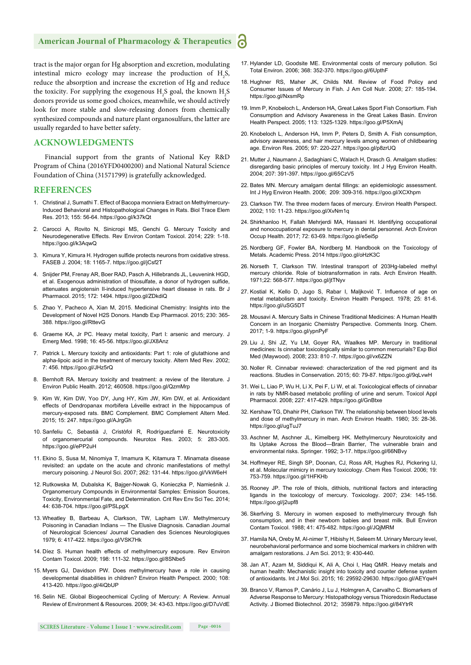tract is the major organ for Hg absorption and excretion, modulating intestinal micro ecology may increase the production of  $H_2S$ , reduce the absorption and increase the excretion of Hg and reduce the toxicity. For supplying the exogenous  $H_2S$  goal, the known  $H_2S$ donors provide us some good choices, meanwhile, we should actively look for more stable and slow-releasing donors from chemically synthesized compounds and nature plant organosulfurs, the latter are usually regarded to have better safety.

#### **ACKNOWLEDGMENTS**

Financial support from the grants of National Key R&D Program of China (2016YFD0400200) and National Natural Science Foundation of China (31571799) is gratefully acknowledged.

#### **REFERENCES**

- 1. Christinal J, Sumathi T. Effect of Bacopa monniera Extract on Methylmercury-Induced Behavioral and Histopathological Changes in Rats. Biol Trace Elem Res. 2013; 155: 56-64. https://goo.gl/k37kQt
- 2. Carocci A, Rovito N, Sinicropi MS, Genchi G, Mercury Toxicity and Neurodegenerative Effects. Rev Environ Contam Toxicol. 2014; 229: 1-18. https://goo.gl/k3AqwQ
- 3. Kimura Y, Kimura H. Hydrogen sulfide protects neurons from oxidative stress. FASEB J. 2004; 18: 1165-7. https://goo.gl/jCsf2T
- 4. Snijder PM, Frenay AR, Boer RAD, Pasch A, Hillebrands JL, Leuvenink HGD, et al. Exogenous administration of thiosulfate, a donor of hydrogen sulfide, attenuates angiotensin II-induced hypertensive heart disease in rats. Br J Pharmacol. 2015; 172: 1494. https://goo.gl/ZDkdiQ
- 5. Zhao Y, Pacheco A, Xian M, 2015. Medicinal Chemistry: Insights into the Development of Novel H2S Donors. Handb Exp Pharmacol. 2015; 230: 365- 388. https://goo.gl/RttevG
- 6. Graeme KA, Jr PC. Heavy metal toxicity, Part I: arsenic and mercury. J Emerg Med. 1998; 16: 45-56. https://goo.gl/JX8Anz
- 7. Patrick L. Mercury toxicity and antioxidants: Part 1: role of glutathione and alpha-lipoic acid in the treatment of mercury toxicity. Altern Med Rev. 2002; 7: 456. https://goo.gl/JHz5rQ
- 8. Bernhoft RA. Mercury toxicity and treatment: a review of the literature. J Environ Public Health. 2012; 460508. https://goo.gl/QzmMrp
- 9. Kim W, Kim DW, Yoo DY, Jung HY, Kim JW, Kim DW, et al. Antioxidant effects of Dendropanax morbifera Léveille extract in the hippocampus of mercury-exposed rats. BMC Complement. BMC Complement Altern Med. 2015; 15: 247. https://goo.gl/AJrgGh
- 10. Sanfeliu C, Sebastià J, Cristòfol R, Rodríguezfarré E. Neurotoxicity of organomercurial compounds. Neurotox Res. 2003; 5: 283-305. https://goo.gl/ePP2uH
- 11. Ekino S, Susa M, Ninomiya T, Imamura K, Kitamura T. Minamata disease revisited: an update on the acute and chronic manifestations of methyl mercury poisoning. J Neurol Sci. 2007; 262: 131-44. https://goo.gl/VkW6eH
- 12. Rutkowska M, Dubalska K, Bajger-Nowak G, Konieczka P, Namieśnik J. Organomercury Compounds in Environmental Samples: Emission Sources, Toxicity, Environmental Fate, and Determination. Crit Rev Env Sci Tec. 2014; 44: 638-704. https://goo.gl/PSLpgX
- 13. Wheatley B, Barbeau A, Clarkson, TW, Lapham LW. Methylmercury Poisoning in Canadian Indians — The Elusive Diagnosis. Canadian Journal of Neurological Sciences/ Journal Canadien des Sciences Neurologiques 1979; 6: 417-422. https://goo.gl/VSK7Hk
- 14. Díez S. Human health effects of methylmercury exposure. Rev Environ Contam Toxicol. 2009; 198: 111-32. https://goo.gl/8SNbe5
- 15. Myers GJ, Davidson PW. Does methylmercury have a role in causing developmental disabilities in children? Environ Health Perspect. 2000; 108: 413-420. https://goo.gl/4iQbUP
- 16. Selin NE. Global Biogeochemical Cycling of Mercury: A Review. Annual Review of Environment & Resources. 2009; 34: 43-63. https://goo.gl/D7uVdE
- 17. Hylander LD, Goodsite ME. Environmental costs of mercury pollution. Sci Total Environ. 2006; 368: 352-370. https://goo.gl/6UpthF
- 18. Hughner RS, Maher JK, Childs NM. Review of Food Policy and Consumer Issues of Mercury in Fish. J Am Coll Nutr. 2008; 27: 185-194. https://goo.gl/NxsmRp
- 19. Imm P, Knobeloch L, Anderson HA, Great Lakes Sport Fish Consortium. Fish Consumption and Advisory Awareness in the Great Lakes Basin. Environ Health Perspect. 2005; 113: 1325-1329. https://goo.gl/P5XmAj
- 20. Knobeloch L, Anderson HA, Imm P, Peters D, Smith A, Fish consumption advisory awareness, and hair mercury levels among women of childbearing age. Environ Res. 2005; 97: 220-227. https://goo.gl/p8zrUQ
- 21. Mutter J, Naumann J, Sadaghiani C, Walach H, Drasch G. Amalgam studies: disregarding basic principles of mercury toxicity. Int J Hyg Environ Health. 2004; 207: 391-397. https://goo.gl/65CzV5
- 22. Bates MN. Mercury amalgam dental fillings: an epidemiologic assessment. Int J Hyg Environ Health. 2006; 209: 309-316. https://goo.gl/XCXhpm
- 23. Clarkson TW. The three modern faces of mercury. Environ Health Perspect. 2002; 110: 11-23. https://goo.gl/XvNm1q
- 24. Shirkhanloo H, Fallah Mehrjerdi MA, Hassani H. Identifying occupational and nonoccupational exposure to mercury in dental personnel. Arch Environ Occup Health. 2017; 72: 63-69. https://goo.gl/e5ei5p
- 25. Nordberg GF, Fowler BA, Nordberg M. Handbook on the Toxicology of Metals. Academic Press. 2014 https://goo.gl/oHzK3C
- 26. Norseth T, Clarkson TW. Intestinal transport of 203Hg-labeled methyl mercury chloride. Role of biotransformation in rats. Arch Environ Health. 1971;22: 568-577. https://goo.gl/jtTNyv
- 27. Kostial K, Kello D, Jugo S, Rabar I, Maljković T. Influence of age on metal metabolism and toxicity. Environ Health Perspect. 1978; 25: 81-6. https://goo.gl/uSG5DT
- 28. Mousavi A. Mercury Salts in Chinese Traditional Medicines: A Human Health Concern in an Inorganic Chemistry Perspective. Comments Inorg. Chem. 2017; 1-9. https://goo.gl/ypnPyF
- 29. Liu J, Shi JZ, Yu LM, Goyer RA, Waalkes MP. Mercury in traditional medicines: Is cinnabar toxicologically similar to common mercurials? Exp Biol Med (Maywood). 2008; 233: 810 -7. https://goo.gl/vx6ZZN
- 30. Noller R. Cinnabar reviewed: characterization of the red pigment and its reactions. Studies in Conservation. 2015; 60: 79-87. https://goo.gl/9qLvwH
- 31. Wei L, Liao P, Wu H, Li X, Pei F, Li W, et al. Toxicological effects of cinnabar in rats by NMR-based metabolic profiling of urine and serum. Toxicol Appl Pharmacol. 2008; 227: 417-429. https://goo.gl/GnBtxe
- 32. Kershaw TG, Dhahir PH, Clarkson TW. The relationship between blood levels and dose of methylmercury in man. Arch Environ Health. 1980; 35: 28-36. https://goo.gl/ugTuJ7
- 33. Aschner M, Aschner JL, Kimelberg HK. Methylmercury Neurotoxicity and Its Uptake Across the Blood—Brain Barrier, The vulnerable brain and environmental risks. Springer. 1992; 3-17. https://goo.gl/66NBvy
- 34. Hoffmeyer RE, Singh SP, Doonan, CJ, Ross AR, Hughes RJ, Pickering IJ, et al. Molecular mimicry in mercury toxicology. Chem Res Toxicol. 2006; 19: 753-759. https://goo.gl/1HFKHb
- 35. Rooney JP. The role of thiols, dithiols, nutritional factors and interacting ligands in the toxicology of mercury. Toxicology. 2007; 234: 145-156. https://goo.gl/j2upf8
- 36. Skerfving S. Mercury in women exposed to methylmercury through fish consumption, and in their newborn babies and breast milk. Bull Environ Contam Toxicol. 1988; 41: 475-482. https://goo.gl/JQjMRM
- 37. Hamila NA, Oreby M, Al-nimer T, Hibishy H, Seleem M. Urinary Mercury level, neurobehavioral performance and some biochemical markers in children with amalgam restorations. J Am Sci. 2013; 9: 430-440.
- 38. Jan AT, Azam M, Siddiqui K, Ali A, Choi I, Haq QMR. Heavy metals and human health: Mechanistic insight into toxicity and counter defense system of antioxidants. Int J Mol Sci. 2015; 16: 29592-29630. https://goo.gl/AEYqwH
- 39. Branco V, Ramos P, Canário J, Lu J, Holmgren A, Carvalho C. Biomarkers of Adverse Response to Mercury: Histopathology versus Thioredoxin Reductase Activity. J Biomed Biotechnol. 2012; 359879. https://goo.gl/84YtrR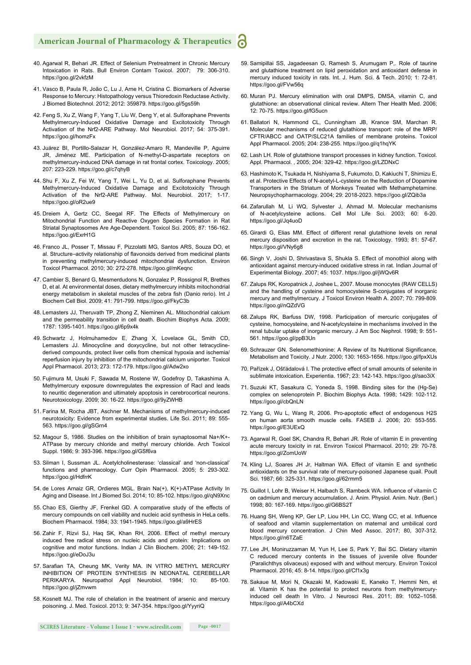- 40. Agarwal R, Behari JR. Effect of Selenium Pretreatment in Chronic Mercury Intoxication in Rats. Bull Environ Contam Toxicol. 2007; 79: 306-310. https://goo.gl/2vkfzM
- 41. Vasco B, Paula R, João C, Lu J, Arne H, Cristina C. Biomarkers of Adverse Response to Mercury: Histopathology versus Thioredoxin Reductase Activity. J Biomed Biotechnol. 2012; 2012: 359879. https://goo.gl/5gs59h
- 42. Feng S, Xu Z, Wang F, Yang T, Liu W, Deng Y, et al. Sulforaphane Prevents Methylmercury-Induced Oxidative Damage and Excitotoxicity Through Activation of the Nrf2-ARE Pathway. Mol Neurobiol. 2017; 54: 375-391. https://goo.gl/homzFx
- 43. Juárez BI, Portillo-Salazar H, González-Amaro R, Mandeville P, Aguirre JR, Jiménez ME. Participation of N-methyl-D-aspartate receptors on methylmercury-induced DNA damage in rat frontal cortex. Toxicology. 2005; 207: 223-229. https://goo.gl/c7qhyB
- 44. Shu F, Xu Z, Fei W, Yang T, Wei L, Yu D, et al. Sulforaphane Prevents Methylmercury-Induced Oxidative Damage and Excitotoxicity Through Activation of the Nrf2-ARE Pathway. Mol. Neurobiol. 2017; 1-17. https://goo.gl/oR2ue9
- 45. Dreiem A, Gertz CC, Seegal RF. The Effects of Methylmercury on Mitochondrial Function and Reactive Oxygen Species Formation in Rat Striatal Synaptosomes Are Age-Dependent. Toxicol Sci. 2005; 87: 156-162. https://goo.gl/ExrH1G
- 46. Franco JL, Posser T, Missau F, Pizzolatti MG, Santos ARS, Souza DO, et al. Structure–activity relationship of flavonoids derived from medicinal plants in preventing methylmercury-induced mitochondrial dysfunction. Environ Toxicol Pharmacol. 2010; 30: 272-278. https://goo.gl/mKeqnc
- 47. Cambier S, Benard G, Mesmerdudons N, Gonzalez P, Rossignol R, Brethes D, et al. At environmental doses, dietary methylmercury inhibits mitochondrial energy metabolism in skeletal muscles of the zebra fish (Danio rerio). Int J Biochem Cell Biol. 2009; 41: 791-799. https://goo.gl/FkyC3b
- 48. Lemasters JJ, Theruvath TP, Zhong Z, Nieminen AL. Mitochondrial calcium and the permeability transition in cell death. Biochim Biophys Acta. 2009; 1787: 1395-1401. https://goo.gl/6p9x4k
- 49. Schwartz J, Holmuhamedov E, Zhang X, Lovelace GL, Smith CD, Lemasters JJ. Minocycline and doxycycline, but not other tetracyclinederived compounds, protect liver cells from chemical hypoxia and ischemia/ reperfusion injury by inhibition of the mitochondrial calcium uniporter. Toxicol Appl Pharmacol. 2013; 273: 172-179. https://goo.gl/Adw2xo
- 50. Fujimura M, Usuki F, Sawada M, Rostene W, Godefroy D, Takashima A. Methylmercury exposure downregulates the expression of Racl and leads to neuritic degeneration and ultimately apoptosis in cerebrocortical neurons. Neurotoxicology. 2009; 30: 16-22. https://goo.gl/9yZWHB
- 51. Farina M, Rocha JBT, Aschner M. Mechanisms of methylmercury-induced neurotoxicity: Evidence from experimental studies. Life Sci. 2011; 89: 555- 563. https://goo.gl/gSGrn4
- 52. Magour S, 1986. Studies on the inhibition of brain synaptosomal Na+/K+- ATPase by mercury chloride and methyl mercury chloride. Arch Toxicol Suppl. 1986; 9: 393-396. https://goo.gl/GSf6va
- 53. Silman I, Sussman JL. Acetylcholinesterase: 'classical' and 'non-classical' functions and pharmacology. Curr Opin Pharmacol. 2005; 5: 293-302. https://goo.gl/HdfrrK
- 54. de Lores Arnaiz GR, Ordieres MGL. Brain Na(+), K(+)-ATPase Activity In Aging and Disease. Int J Biomed Sci. 2014; 10: 85-102. https://goo.gl/qN9Xnc
- 55. Chao ES, Gierthy JF, Frenkel GD. A comparative study of the effects of mercury compounds on cell viability and nucleic acid synthesis in HeLa cells. Biochem Pharmacol. 1984; 33: 1941-1945. https://goo.gl/a9HrES
- 56. Zahir F, Rizvi SJ, Haq SK, Khan RH, 2006. Effect of methyl mercury induced free radical stress on nucleic acids and protein: Implications on cognitive and motor functions. Indian J Clin Biochem. 2006; 21: 149-152. https://goo.gl/eDoJ3u
- 57. Sarafian TA, Cheung MK, Verity MA. IN VITRO METHYL MERCURY INHIBITION OF PROTEIN SYNTHESIS IN NEONATAL CEREBELLAR PERIKARYA. Neuropathol Appl Neurobiol. 1984; 10: 85-100. https://goo.gl/jZmvwm
- 58. Kosnett MJ. The role of chelation in the treatment of arsenic and mercury poisoning. J. Med. Toxicol. 2013; 9: 347-354. https://goo.gl/YyyriQ
	- **SCIRES Literature Volume 1 Issue 1 www.scireslit.com Page -0017**
- 59. Samipillai SS, Jagadeesan G, Ramesh S, Arumugam P,. Role of taurine and glutathione treatment on lipid peroxidation and antioxidant defense in mercury induced toxicity in rats. Int. J. Hum. Sci. & Tech. 2010; 1: 72-81. https://goo.gl/FVw56q
- 60. Muran PJ. Mercury elimination with oral DMPS, DMSA, vitamin C, and glutathione: an observational clinical review. Altern Ther Health Med. 2006; 12: 70-75. https://goo.gl/fG5ucn
- 61. Ballatori N, Hammond CL, Cunningham JB, Krance SM, Marchan R. Molecular mechanisms of reduced glutathione transport: role of the MRP/ CFTR/ABCC and OATP/SLC21A families of membrane proteins. Toxicol Appl Pharmacol. 2005; 204: 238-255. https://goo.gl/q1hqYK
- 62. Lash LH. Role of glutathione transport processes in kidney function. Toxicol. Appl. Pharmacol. , 2005; 204: 329-42. https://goo.gl/LZDNxC
- 63. Hashimoto K, Tsukada H, Nishiyama S, Fukumoto, D, Kakiuchi T, Shimizu E, et al. Protective Effects of N-acetyl-L-cysteine on the Reduction of Dopamine Transporters in the Striatum of Monkeys Treated with Methamphetamine. Neuropsychopharmacology. 2004; 29: 2018-2023. https://goo.gl/ZQib3a
- 64. Zafarullah M, Li WQ, Sylvester J, Ahmad M. Molecular mechanisms of N-acetylcysteine actions. Cell Mol Life Sci. 2003; 60: 6-20. https://goo.gl/Jq4uoD
- 65. Girardi G, Elias MM. Effect of different renal glutathione levels on renal mercury disposition and excretion in the rat. Toxicology. 1993; 81: 57-67. https://goo.gl/VNy6g8
- 66. Singh V, Joshi D, Shrivastava S, Shukla S. Effect of monothiol along with antioxidant against mercury-induced oxidative stress in rat. Indian Journal of Experimental Biology. 2007; 45: 1037. https://goo.gl/jWQv6R
- 67. Zalups RK, Koropatnick J, Joshee L, 2007. Mouse monocytes (RAW CELLS) and the handling of cysteine and homocysteine S-conjugates of inorganic mercury and methylmercury. J Toxicol Environ Health A. 2007; 70: 799-809. https://goo.gl/nQZdVG
- 68. Zalups RK, Barfuss DW, 1998. Participation of mercuric conjugates of cysteine, homocysteine, and N-acetylcysteine in mechanisms involved in the renal tubular uptake of inorganic mercury. J Am Soc Nephrol. 1998; 9: 551- 561. https://goo.gl/ppB3Un
- 69. Schrauzer GN. Selenomethionine: A Review of Its Nutritional Significance, Metabolism and Toxicity. J Nutr. 2000; 130: 1653-1656. https://goo.gl/fpxXUs
- 70. Pařízek J, Ošťádalová I. The protective effect of small amounts of selenite in sublimate intoxication. Experientia. 1967; 23: 142-143. https://goo.gl/sao3iX
- 71. Suzuki KT, Sasakura C, Yoneda S, 1998. Binding sites for the (Hg-Se) complex on selenoprotein P. Biochim Biophys Acta. 1998; 1429: 102-112. https://goo.gl/cbQnLN
- 72. Yang G, Wu L, Wang R, 2006. Pro-apoptotic effect of endogenous H2S on human aorta smooth muscle cells. FASEB J. 2006; 20: 553-555. https://goo.gl/E3UExQ
- 73. Agarwal R, Goel SK, Chandra R, Behari JR. Role of vitamin E in preventing acute mercury toxicity in rat. Environ Toxicol Pharmacol. 2010; 29: 70-78. https://goo.gl/ZomUoW
- 74. Kling LJ, Soares JH Jr, Haltman WA. Effect of vitamin E and synthetic antioxidants on the survival rate of mercury-poisoned Japanese quail. Poult Sci. 1987; 66: 325-331. https://goo.gl/62rmm5
- 75. Guillot I, Lohr B, Weiser H, Halbach S, Rambeck WA. Influence of vitamin C on cadmium and mercury accumulation. J. Anim. Physiol. Anim. Nutr. (Berl.) 1998; 80: 167-169. https://goo.gl/G6BS2T
- 76. Huang SH, Weng KP, Ger LP, Liou HH, Lin CC, Wang CC, et al. Influence of seafood and vitamin supplementation on maternal and umbilical cord blood mercury concentration. J Chin Med Assoc. 2017; 80, 307-312. https://goo.gl/n6TZaE
- 77. Lee JH, Moniruzzaman M, Yun H, Lee S, Park Y, Bai SC. Dietary vitamin C reduced mercury contents in the tissues of juvenile olive flounder (Paralichthys olivaceus) exposed with and without mercury. Environ Toxicol Pharmacol. 2016; 45: 8-14. https://goo.gl/Cf1x3g
- 78. Sakaue M, Mori N, Okazaki M, Kadowaki E, Kaneko T, Hemmi Nm, et al. Vitamin K has the potential to protect neurons from methylmercuryinduced cell death In Vitro. J Neurosci Res. 2011; 89: 1052–1058. https://goo.gl/A4bCXd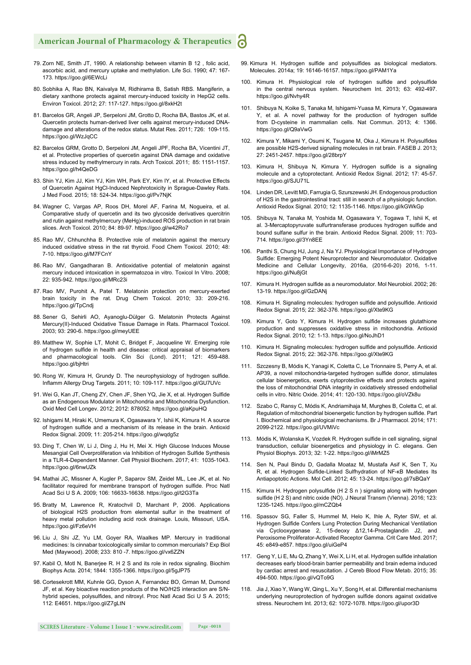- 79. Zorn NE, Smith JT, 1990. A relationship between vitamin B 12 , folic acid, ascorbic acid, and mercury uptake and methylation. Life Sci. 1990; 47: 167- 173. https://goo.gl/6EWcLi
- 80. Sobhika A, Rao BN, Kaivalya M, Ridhirama B, Satish RBS. Mangiferin, a dietary xanthone protects against mercury-induced toxicity in HepG2 cells. Environ Toxicol. 2012; 27: 117-127. https://goo.gl/8xkH2t
- 81. Barcelos GR, Angeli JP, Serpeloni JM, Grotto D, Rocha BA, Bastos JK, et al. Quercetin protects human-derived liver cells against mercury-induced DNAdamage and alterations of the redox status. Mutat Res. 2011; 726: 109-115. https://goo.gl/WzJqCC
- 82. Barcelos GRM, Grotto D, Serpeloni JM, Angeli JPF, Rocha BA, Vicentini JT, et al. Protective properties of quercetin against DNA damage and oxidative stress induced by methylmercury in rats. Arch Toxicol. 2011; 85: 1151-1157. https://goo.gl/h4QeDG
- 83. Shin YJ, Kim JJ, Kim YJ, Kim WH, Park EY, Kim IY, et al. Protective Effects of Quercetin Against HgCl-Induced Nephrotoxicity in Sprague-Dawley Rats. J Med Food. 2015; 18: 524-34. https://goo.gl/Pv7NjK
- 84. Wagner C, Vargas AP, Roos DH, Morel AF, Farina M, Nogueira, et al. Comparative study of quercetin and its two glycoside derivatives quercitrin and rutin against methylmercury (MeHg)-induced ROS production in rat brain slices. Arch Toxicol. 2010; 84: 89-97. https://goo.gl/w42Ro7
- 85. Rao MV, Chhunchha B. Protective role of melatonin against the mercury induced oxidative stress in the rat thyroid. Food Chem Toxicol. 2010; 48: 7-10. https://goo.gl/M7FCnY
- 86. Rao MV, Gangadharan B. Antioxidative potential of melatonin against mercury induced intoxication in spermatozoa in vitro. Toxicol In Vitro. 2008; 22: 935-942. https://goo.gl/MRc23i
- 87. Rao MV, Purohit A, Patel T. Melatonin protection on mercury-exerted brain toxicity in the rat. Drug Chem Toxicol. 2010; 33: 209-216. https://goo.gl/TpCndj
- 88. Sener G, Sehirli AO, Ayanoglu-Dülger G. Melatonin Protects Against Mercury(II)-Induced Oxidative Tissue Damage in Rats. Pharmacol Toxicol. 2003; 93: 290-6. https://goo.gl/meyUEE
- 89. Matthew W, Sophie LT, Mohit C, Bridget F, Jacqueline W. Emerging role of hydrogen sulfide in health and disease: critical appraisal of biomarkers and pharmacological tools. Clin Sci (Lond). 2011; 121: 459-488. https://goo.gl/bjHtri
- 90. Rong W, Kimura H, Grundy D. The neurophysiology of hydrogen sulfide. Inflamm Allergy Drug Targets. 2011; 10: 109-117. https://goo.gl/GU7UVc
- 91. Wei G, Kan JT, Cheng ZY, Chen JF, Shen YQ, Jie X, et al. Hydrogen Sulfide as an Endogenous Modulator in Mitochondria and Mitochondria Dysfunction. Oxid Med Cell Longev. 2012; 2012: 878052. https://goo.gl/aKpuHQ
- 92. Ishigami M, Hiraki K, Umemura K, Ogasawara Y, Ishii K, Kimura H. A source of hydrogen sulfide and a mechanism of its release in the brain. Antioxid Redox Signal. 2009; 11: 205-214. https://goo.gl/wqdg5z
- 93. Ding T, Chen W, Li J, Ding J, Hu H, Mei X. High Glucose Induces Mouse Mesangial Cell Overproliferation via Inhibition of Hydrogen Sulfide Synthesis in a TLR-4-Dependent Manner. Cell Physiol Biochem. 2017; 41: 1035-1043. https://goo.gl/6nwUZk
- 94. Mathai JC, Missner A, Kugler P, Saparov SM, Zeidel ML, Lee JK, et al. No facilitator required for membrane transport of hydrogen sulfide. Proc Natl Acad Sci U S A. 2009; 106: 16633-16638. https://goo.gl/t2G3Ta
- 95. Bratty M, Lawrence R, Kratochvil D, Marchant P, 2006. Applications of biological H2S production from elemental sulfur in the treatment of heavy metal pollution including acid rock drainage. Louis, Missouri, USA. https://goo.gl/Fz6eVH
- 96. Liu J, Shi JZ, Yu LM, Goyer RA, Waalkes MP. Mercury in traditional medicines: Is cinnabar toxicologically similar to common mercurials? Exp Biol Med (Maywood). 2008; 233: 810 -7. https://goo.gl/vx6ZZN
- 97. Kabil O, Motl N, Banerjee R. H 2 S and its role in redox signaling. Biochim Biophys Acta. 2014; 1844: 1355-1366. https://goo.gl/5gJP75
- 98. Cortesekrott MM, Kuhnle GG, Dyson A, Fernandez BO, Grman M, Dumond JF, et al. Key bioactive reaction products of the NO/H2S interaction are S/Nhybrid species, polysulfides, and nitroxyl. Proc Natl Acad Sci U S A. 2015; 112: E4651. https://goo.gl/Z7gLtN
- 99. Kimura H. Hydrogen sulfide and polysulfides as biological mediators. Molecules. 2014a; 19: 16146-16157. https://goo.gl/PAM1Ya
- 100. Kimura H. Physiological role of hydrogen sulfide and polysulfide in the central nervous system. Neurochem Int. 2013; 63: 492-497. https://goo.gl/Nvhy4R
- 101. Shibuya N, Koike S, Tanaka M, Ishigami-Yuasa M, Kimura Y, Ogasawara Y, et al. A novel pathway for the production of hydrogen sulfide from D-cysteine in mammalian cells. Nat Commun. 2013; 4: 1366. https://goo.gl/Q9aVwG
- 102. Kimura Y, Mikami Y, Osumi K, Tsugane M, Oka J, Kimura H. Polysulfides are possible H2S-derived signaling molecules in rat brain. FASEB J. 2013; 27: 2451-2457. https://goo.gl/28brpY
- 103. Kimura H, Shibuya N, Kimura Y. Hydrogen sulfide is a signaling molecule and a cytoprotectant. Antioxid Redox Signal. 2012; 17: 45-57. https://goo.gl/SJU71L
- 104. Linden DR, Levitt MD, Farrugia G, Szurszewski JH. Endogenous production of H2S in the gastrointestinal tract: still in search of a physiologic function. Antioxid Redox Signal. 2010; 12: 1135-1146. https://goo.gl/kGWkGp
- 105. Shibuya N, Tanaka M, Yoshida M, Ogasawara Y, Togawa T, Ishii K, et al. 3-Mercaptopyruvate sulfurtransferase produces hydrogen sulfide and bound sulfane sulfur in the brain. Antioxid Redox Signal. 2009; 11: 703- 714. https://goo.gl/3Yn8EE
- 106. Panthi S, Chung HJ, Jung J, Na YJ. Physiological Importance of Hydrogen Sulfide: Emerging Potent Neuroprotector and Neuromodulator. Oxidative Medicine and Cellular Longevity, 2016a, (2016-6-20) 2016, 1-11. https://goo.gl/Nu8jGt
- 107. Kimura H. Hydrogen sulfide as a neuromodulator. Mol Neurobiol. 2002; 26: 13-19. https://goo.gl/GzDANj
- 108. Kimura H. Signaling molecules: hydrogen sulfide and polysulfide. Antioxid Redox Signal. 2015; 22: 362-376. https://goo.gl/Xte9KG
- 109. Kimura Y, Goto Y, Kimura H. Hydrogen sulfide increases glutathione production and suppresses oxidative stress in mitochondria. Antioxid Redox Signal. 2010; 12: 1-13. https://goo.gl/NoJhD1
- 110. Kimura H. Signaling molecules: hydrogen sulfide and polysulfide. Antioxid Redox Signal. 2015; 22: 362-376. https://goo.gl/Xte9KG
- 111. Szczesny B, Módis K, Yanagi K, Coletta C, Le Trionnaire S, Perry A, et al. AP39, a novel mitochondria-targeted hydrogen sulfide donor, stimulates cellular bioenergetics, exerts cytoprotective effects and protects against the loss of mitochondrial DNA integrity in oxidatively stressed endothelial cells in vitro. Nitric Oxide. 2014; 41: 120-130. https://goo.gl/oVZk8u
- 112. Szabo C, Ransy C, Módis K, Andriamihaja M, Murghes B, Coletta C, et al. Regulation of mitochondrial bioenergetic function by hydrogen sulfide. Part I. Biochemical and physiological mechanisms. Br J Pharmacol. 2014; 171: 2099-2122. https://goo.gl/UVMiVc
- 113. Módis K, Wolanska K, Vozdek R. Hydrogen sulfide in cell signaling, signal transduction, cellular bioenergetics and physiology in C. elegans. Gen Physiol Biophys. 2013; 32: 1-22. https://goo.gl/iMrMZ5
- 114. Sen N, Paul Bindu D, Gadalla Moataz M, Mustafa Asif K, Sen T, Xu R, et al. Hydrogen Sulfide-Linked Sulfhydration of NF-κB Mediates Its Antiapoptotic Actions. Mol Cell. 2012; 45: 13-24. https://goo.gl/7sBQaY
- 115. Kimura H. Hydrogen polysulfide (H 2 S n ) signaling along with hydrogen sulfide (H 2 S) and nitric oxide (NO). J Neural Transm (Vienna). 2016; 123: 1235-1245. https://goo.gl/mCZQb4
- Spassov SG, Faller S, Hummel M, Helo K, Ihle A, Ryter SW, et al. Hydrogen Sulfide Confers Lung Protection During Mechanical Ventilation via Cyclooxygenase 2, 15-deoxy Δ12,14-Prostaglandin J2, and Peroxisome Proliferator-Activated Receptor Gamma. Crit Care Med. 2017; 45: e849-e857. https://goo.gl/uiGeP4
- 117. Geng Y, Li E, Mu Q, Zhang Y, Wei X, Li H, et al. Hydrogen sulfide inhalation decreases early blood-brain barrier permeability and brain edema induced by cardiac arrest and resuscitation. J Cereb Blood Flow Metab. 2015; 35: 494-500. https://goo.gl/vQTo9G
- 118. Jia J, Xiao Y, Wang W, Qing L, Xu Y, Song H, et al. Differential mechanisms underlying neuroprotection of hydrogen sulfide donors against oxidative stress. Neurochem Int. 2013; 62: 1072-1078. https://goo.gl/upor3D